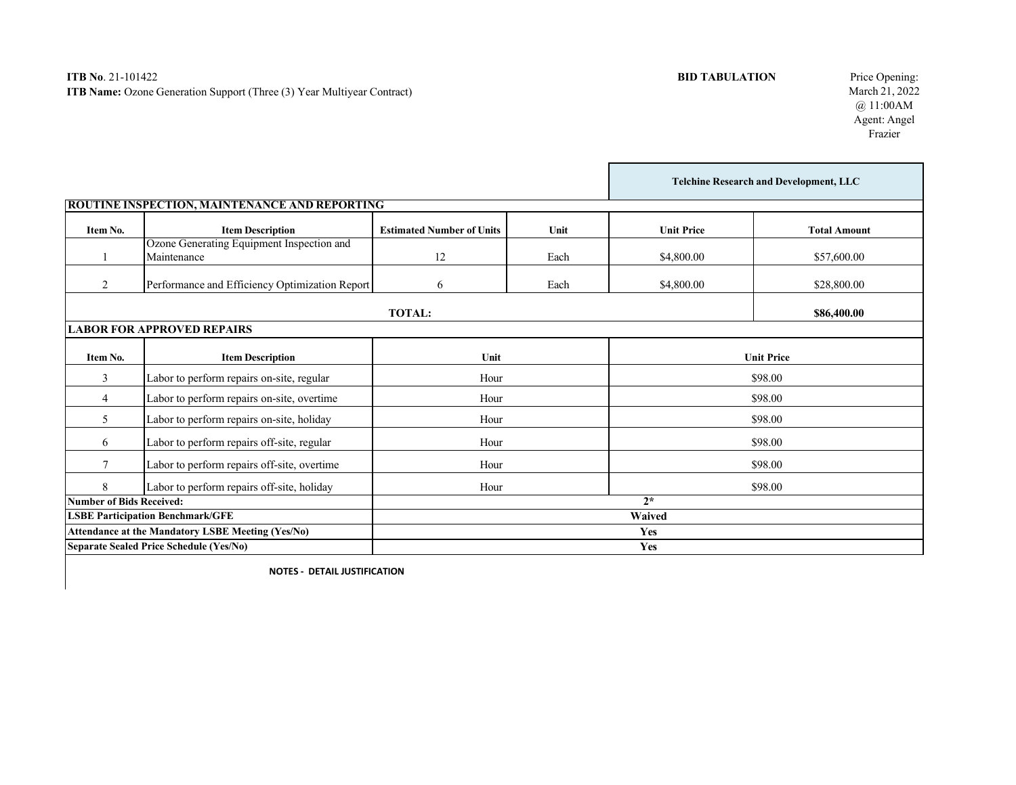|                                                          |                                                          |                                  |      | <b>Telchine Research and Development, LLC</b> |                     |
|----------------------------------------------------------|----------------------------------------------------------|----------------------------------|------|-----------------------------------------------|---------------------|
|                                                          | <b>ROUTINE INSPECTION, MAINTENANCE AND REPORTING</b>     |                                  |      |                                               |                     |
| Item No.                                                 | <b>Item Description</b>                                  | <b>Estimated Number of Units</b> | Unit | <b>Unit Price</b>                             | <b>Total Amount</b> |
|                                                          | Ozone Generating Equipment Inspection and<br>Maintenance | 12                               | Each | \$4,800.00                                    | \$57,600.00         |
| $\overline{2}$                                           | Performance and Efficiency Optimization Report           | 6                                | Each | \$4,800.00                                    | \$28,800.00         |
|                                                          |                                                          | <b>TOTAL:</b>                    |      |                                               | \$86,400.00         |
|                                                          | <b>LABOR FOR APPROVED REPAIRS</b>                        |                                  |      |                                               |                     |
| Item No.                                                 | <b>Item Description</b>                                  | Unit                             |      | <b>Unit Price</b>                             |                     |
| 3                                                        | Labor to perform repairs on-site, regular                | Hour                             |      | \$98.00                                       |                     |
| 4                                                        | Labor to perform repairs on-site, overtime               | Hour                             |      | \$98.00                                       |                     |
| 5                                                        | Labor to perform repairs on-site, holiday                | Hour                             |      | \$98.00                                       |                     |
| 6                                                        | Labor to perform repairs off-site, regular               | Hour                             |      | \$98.00                                       |                     |
| 7                                                        | Labor to perform repairs off-site, overtime              | Hour                             |      | \$98.00                                       |                     |
| 8                                                        | Labor to perform repairs off-site, holiday               | Hour                             |      | \$98.00                                       |                     |
| <b>Number of Bids Received:</b>                          |                                                          | $2*$                             |      |                                               |                     |
| <b>LSBE Participation Benchmark/GFE</b>                  |                                                          | <b>Waived</b>                    |      |                                               |                     |
| <b>Attendance at the Mandatory LSBE Meeting (Yes/No)</b> |                                                          | Yes                              |      |                                               |                     |
| <b>Separate Sealed Price Schedule (Yes/No)</b>           |                                                          | Yes                              |      |                                               |                     |

**NOTES - DETAIL JUSTIFICATION**